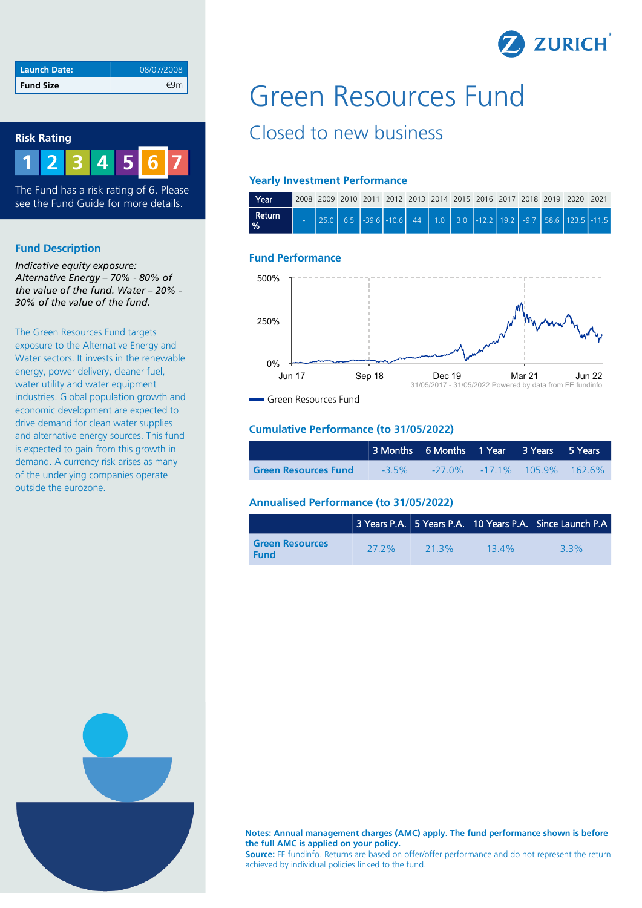

| Launch Date: | 08/07/2008 |
|--------------|------------|
| Fund Size    |            |

#### **Risk Rating**



The Fund has a risk rating of 6. Please see the Fund Guide for more details.

#### **Fund Description**

*Indicative equity exposure: Alternative Energy – 70% - 80% of the value of the fund. Water – 20% - 30% of the value of the fund.*

The Green Resources Fund targets exposure to the Alternative Energy and Water sectors. It invests in the renewable energy, power delivery, cleaner fuel, water utility and water equipment industries. Global population growth and economic development are expected to drive demand for clean water supplies and alternative energy sources. This fund is expected to gain from this growth in demand. A currency risk arises as many of the underlying companies operate outside the eurozone.

# Green Resources Fund

## Closed to new business

#### **Yearly Investment Performance**

| Year '                  |  |  |  |  |  |  | 2008 2009 2010 2011 2012 2013 2014 2015 2016 2017 2018 2019 2020 2021 |  |
|-------------------------|--|--|--|--|--|--|-----------------------------------------------------------------------|--|
| Return<br>$\frac{9}{6}$ |  |  |  |  |  |  |                                                                       |  |

### **Fund Performance**



Green Resources Fund

#### **Cumulative Performance (to 31/05/2022)**

|                             | 3 Months 6 Months 1 Year 3 Years 5 Years |                                   |  |  |
|-----------------------------|------------------------------------------|-----------------------------------|--|--|
| <b>Green Resources Fund</b> | $-3.5\%$                                 | $-27.0\%$ $-17.1\%$ 105.9% 162.6% |  |  |

### **Annualised Performance (to 31/05/2022)**

|                                       |      |          |          | 3 Years P.A. 5 Years P.A. 10 Years P.A. Since Launch P.A. |
|---------------------------------------|------|----------|----------|-----------------------------------------------------------|
| <b>Green Resources</b><br><b>Fund</b> | 272% | $21.3\%$ | $13.4\%$ | 33%                                                       |



**Notes: Annual management charges (AMC) apply. The fund performance shown is before the full AMC is applied on your policy.**

**Source:** FE fundinfo. Returns are based on offer/offer performance and do not represent the return achieved by individual policies linked to the fund.